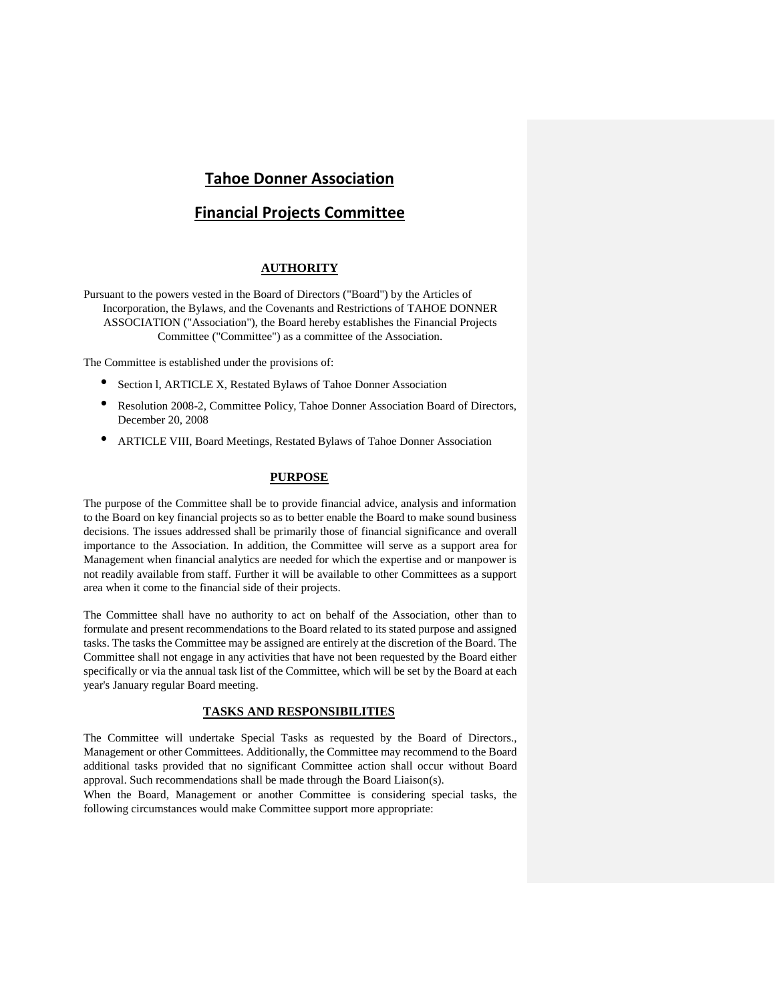# **Tahoe Donner Association**

# **Financial Projects Committee**

## **AUTHORITY**

Pursuant to the powers vested in the Board of Directors ("Board") by the Articles of Incorporation, the Bylaws, and the Covenants and Restrictions of TAHOE DONNER ASSOCIATION ("Association"), the Board hereby establishes the Financial Projects Committee ("Committee") as a committee of the Association.

The Committee is established under the provisions of:

- Section 1, ARTICLE X, Restated Bylaws of Tahoe Donner Association
- Resolution 2008-2, Committee Policy, Tahoe Donner Association Board of Directors, December 20, 2008
- ARTICLE VIII, Board Meetings, Restated Bylaws of Tahoe Donner Association

## **PURPOSE**

The purpose of the Committee shall be to provide financial advice, analysis and information to the Board on key financial projects so as to better enable the Board to make sound business decisions. The issues addressed shall be primarily those of financial significance and overall importance to the Association. In addition, the Committee will serve as a support area for Management when financial analytics are needed for which the expertise and or manpower is not readily available from staff. Further it will be available to other Committees as a support area when it come to the financial side of their projects.

The Committee shall have no authority to act on behalf of the Association, other than to formulate and present recommendations to the Board related to its stated purpose and assigned tasks. The tasks the Committee may be assigned are entirely at the discretion of the Board. The Committee shall not engage in any activities that have not been requested by the Board either specifically or via the annual task list of the Committee, which will be set by the Board at each year's January regular Board meeting.

## **TASKS AND RESPONSIBILITIES**

The Committee will undertake Special Tasks as requested by the Board of Directors., Management or other Committees. Additionally, the Committee may recommend to the Board additional tasks provided that no significant Committee action shall occur without Board approval. Such recommendations shall be made through the Board Liaison(s).

When the Board, Management or another Committee is considering special tasks, the following circumstances would make Committee support more appropriate: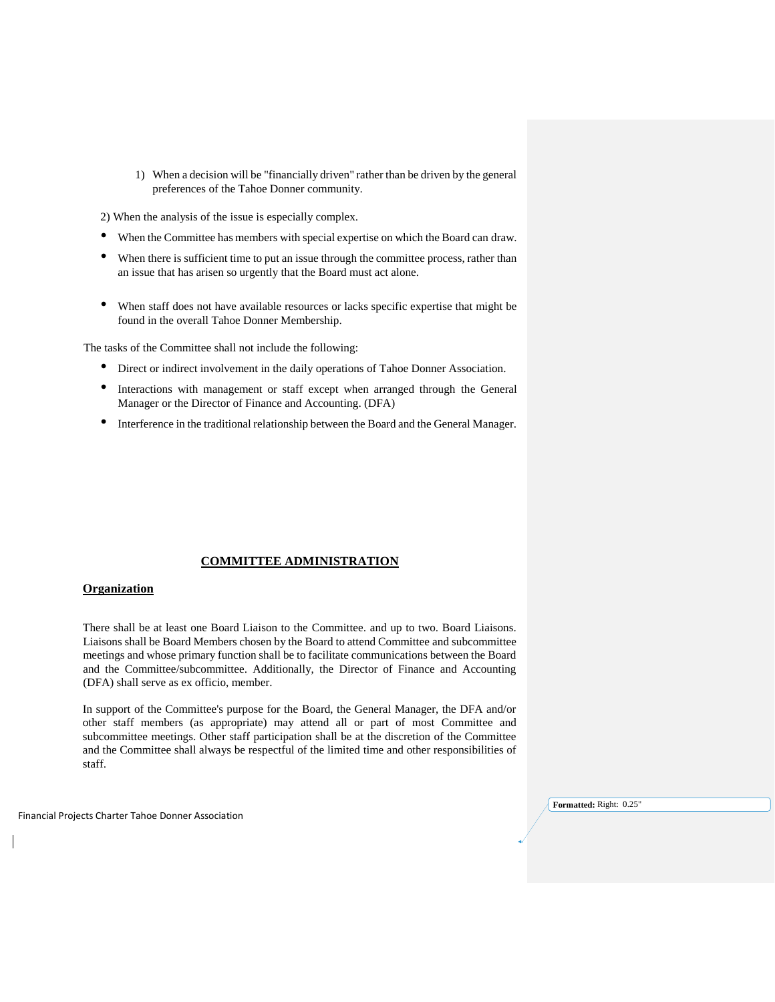1) When a decision will be "financially driven" rather than be driven by the general preferences of the Tahoe Donner community.

2) When the analysis of the issue is especially complex.

- When the Committee has members with special expertise on which the Board can draw.
- When there is sufficient time to put an issue through the committee process, rather than an issue that has arisen so urgently that the Board must act alone.
- When staff does not have available resources or lacks specific expertise that might be found in the overall Tahoe Donner Membership.

The tasks of the Committee shall not include the following:

- Direct or indirect involvement in the daily operations of Tahoe Donner Association.
- Interactions with management or staff except when arranged through the General Manager or the Director of Finance and Accounting. (DFA)
- Interference in the traditional relationship between the Board and the General Manager.

#### **COMMITTEE ADMINISTRATION**

### **Organization**

There shall be at least one Board Liaison to the Committee. and up to two. Board Liaisons. Liaisons shall be Board Members chosen by the Board to attend Committee and subcommittee meetings and whose primary function shall be to facilitate communications between the Board and the Committee/subcommittee. Additionally, the Director of Finance and Accounting (DFA) shall serve as ex officio, member.

In support of the Committee's purpose for the Board, the General Manager, the DFA and/or other staff members (as appropriate) may attend all or part of most Committee and subcommittee meetings. Other staff participation shall be at the discretion of the Committee and the Committee shall always be respectful of the limited time and other responsibilities of staff.

Financial Projects Charter Tahoe Donner Association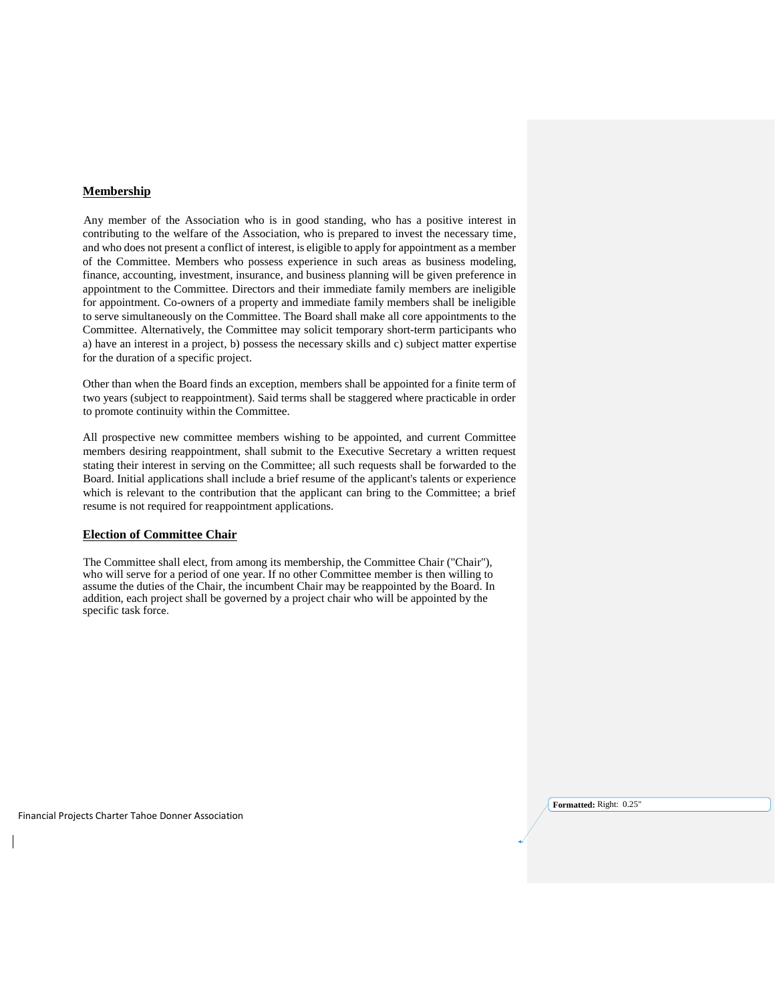## **Membership**

Any member of the Association who is in good standing, who has a positive interest in contributing to the welfare of the Association, who is prepared to invest the necessary time, and who does not present a conflict of interest, is eligible to apply for appointment as a member of the Committee. Members who possess experience in such areas as business modeling, finance, accounting, investment, insurance, and business planning will be given preference in appointment to the Committee. Directors and their immediate family members are ineligible for appointment. Co-owners of a property and immediate family members shall be ineligible to serve simultaneously on the Committee. The Board shall make all core appointments to the Committee. Alternatively, the Committee may solicit temporary short-term participants who a) have an interest in a project, b) possess the necessary skills and c) subject matter expertise for the duration of a specific project.

Other than when the Board finds an exception, members shall be appointed for a finite term of two years (subject to reappointment). Said terms shall be staggered where practicable in order to promote continuity within the Committee.

All prospective new committee members wishing to be appointed, and current Committee members desiring reappointment, shall submit to the Executive Secretary a written request stating their interest in serving on the Committee; all such requests shall be forwarded to the Board. Initial applications shall include a brief resume of the applicant's talents or experience which is relevant to the contribution that the applicant can bring to the Committee; a brief resume is not required for reappointment applications.

#### **Election of Committee Chair**

The Committee shall elect, from among its membership, the Committee Chair ("Chair"), who will serve for a period of one year. If no other Committee member is then willing to assume the duties of the Chair, the incumbent Chair may be reappointed by the Board. In addition, each project shall be governed by a project chair who will be appointed by the specific task force.

Financial Projects Charter Tahoe Donner Association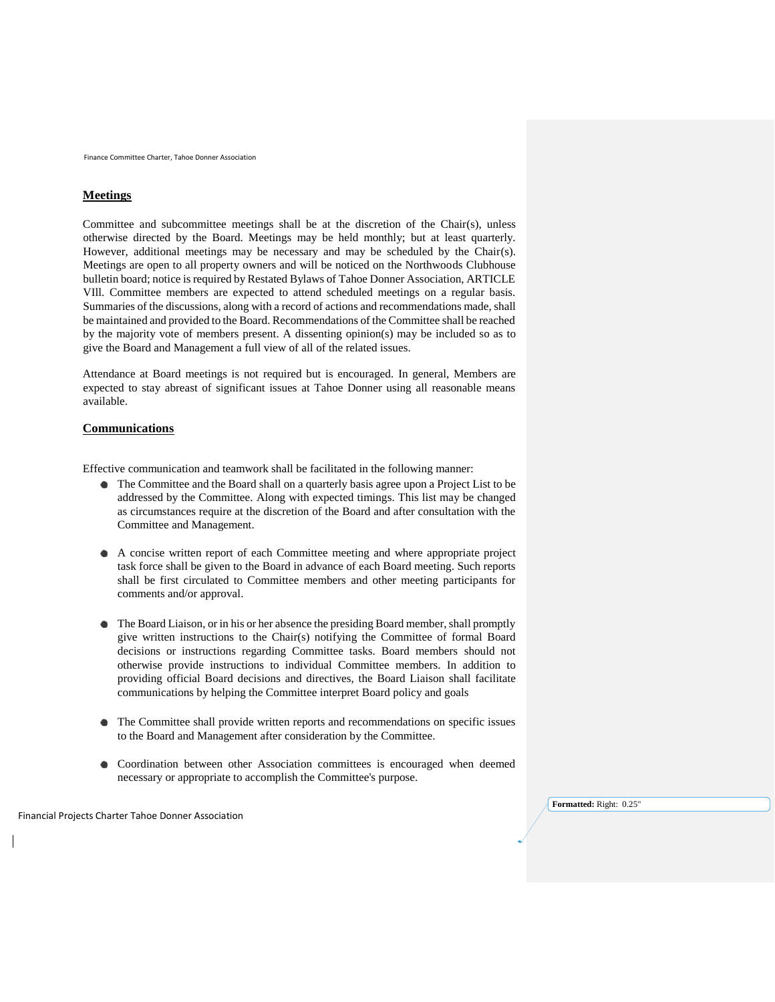Finance Committee Charter, Tahoe Donner Association

## **Meetings**

Committee and subcommittee meetings shall be at the discretion of the Chair(s), unless otherwise directed by the Board. Meetings may be held monthly; but at least quarterly. However, additional meetings may be necessary and may be scheduled by the Chair(s). Meetings are open to all property owners and will be noticed on the Northwoods Clubhouse bulletin board; notice is required by Restated Bylaws of Tahoe Donner Association, ARTICLE VIll. Committee members are expected to attend scheduled meetings on a regular basis. Summaries of the discussions, along with a record of actions and recommendations made, shall be maintained and provided to the Board. Recommendations of the Committee shall be reached by the majority vote of members present. A dissenting opinion(s) may be included so as to give the Board and Management a full view of all of the related issues.

Attendance at Board meetings is not required but is encouraged. In general, Members are expected to stay abreast of significant issues at Tahoe Donner using all reasonable means available.

#### **Communications**

Effective communication and teamwork shall be facilitated in the following manner:

- The Committee and the Board shall on a quarterly basis agree upon a Project List to be addressed by the Committee. Along with expected timings. This list may be changed as circumstances require at the discretion of the Board and after consultation with the Committee and Management.
- A concise written report of each Committee meeting and where appropriate project task force shall be given to the Board in advance of each Board meeting. Such reports shall be first circulated to Committee members and other meeting participants for comments and/or approval.
- The Board Liaison, or in his or her absence the presiding Board member, shall promptly give written instructions to the Chair(s) notifying the Committee of formal Board decisions or instructions regarding Committee tasks. Board members should not otherwise provide instructions to individual Committee members. In addition to providing official Board decisions and directives, the Board Liaison shall facilitate communications by helping the Committee interpret Board policy and goals
- The Committee shall provide written reports and recommendations on specific issues to the Board and Management after consideration by the Committee.
- $\bullet$ Coordination between other Association committees is encouraged when deemed necessary or appropriate to accomplish the Committee's purpose.

Financial Projects Charter Tahoe Donner Association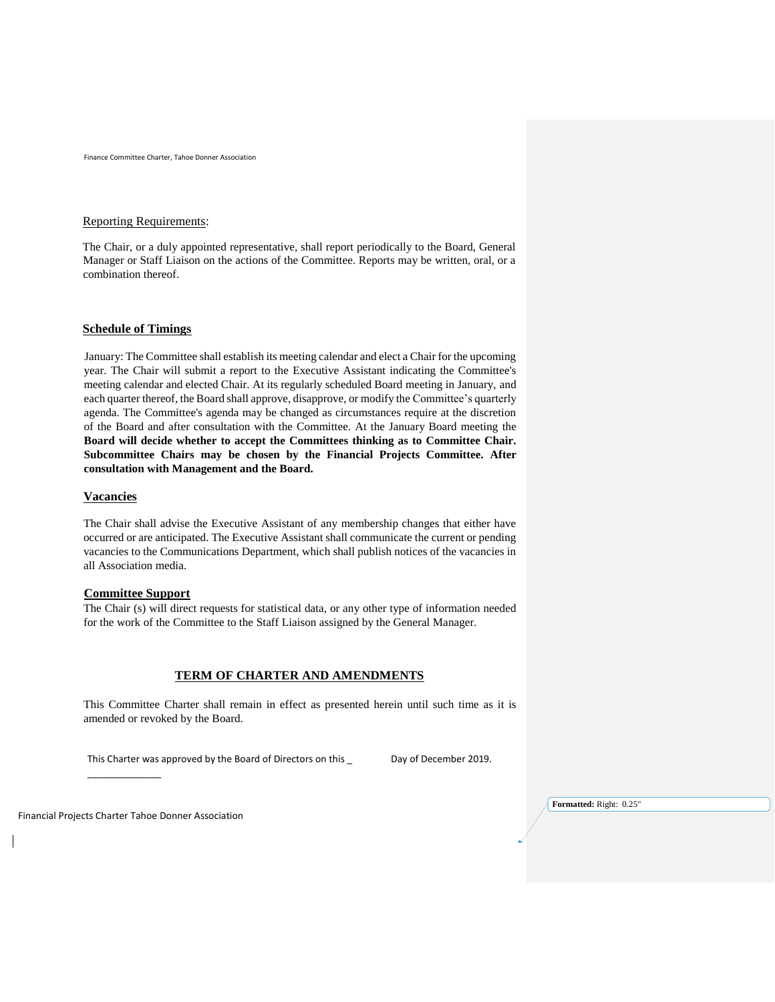Finance Committee Charter, Tahoe Donner Association

## Reporting Requirements:

The Chair, or a duly appointed representative, shall report periodically to the Board, General Manager or Staff Liaison on the actions of the Committee. Reports may be written, oral, or a combination thereof.

## **Schedule of Timings**

 January: The Committee shall establish its meeting calendar and elect a Chair for the upcoming year. The Chair will submit a report to the Executive Assistant indicating the Committee's meeting calendar and elected Chair. At its regularly scheduled Board meeting in January, and each quarter thereof, the Board shall approve, disapprove, or modify the Committee's quarterly agenda. The Committee's agenda may be changed as circumstances require at the discretion of the Board and after consultation with the Committee. At the January Board meeting the **Board will decide whether to accept the Committees thinking as to Committee Chair. Subcommittee Chairs may be chosen by the Financial Projects Committee. After consultation with Management and the Board.**

#### **Vacancies**

The Chair shall advise the Executive Assistant of any membership changes that either have occurred or are anticipated. The Executive Assistant shall communicate the current or pending vacancies to the Communications Department, which shall publish notices of the vacancies in all Association media.

#### **Committee Support**

The Chair (s) will direct requests for statistical data, or any other type of information needed for the work of the Committee to the Staff Liaison assigned by the General Manager.

#### **TERM OF CHARTER AND AMENDMENTS**

This Committee Charter shall remain in effect as presented herein until such time as it is amended or revoked by the Board.

This Charter was approved by the Board of Directors on this \_ Day of December 2019.

Financial Projects Charter Tahoe Donner Association

\_\_\_\_\_\_\_\_\_\_\_\_\_\_